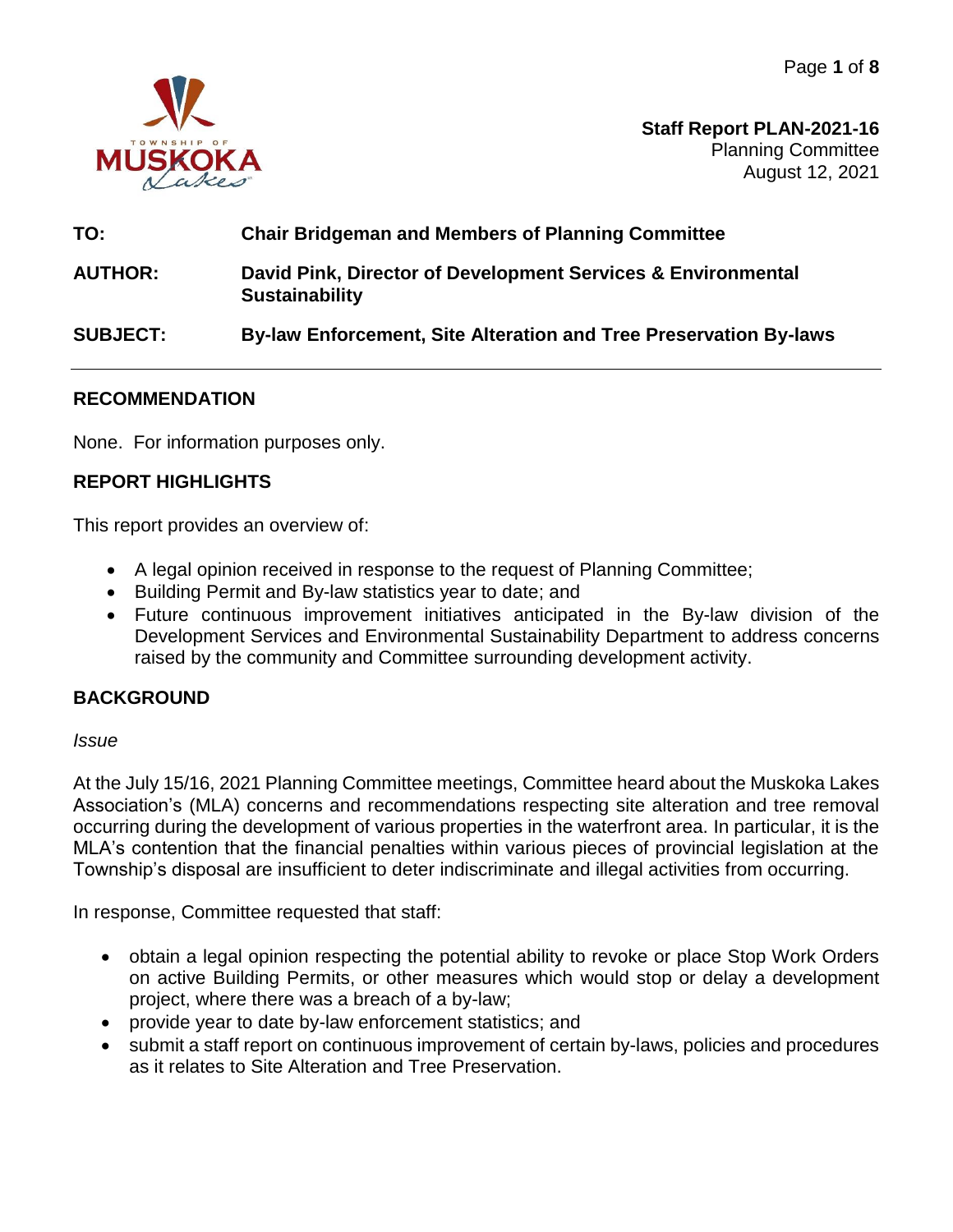

**Staff Report PLAN-2021-16** Planning Committee August 12, 2021

# **TO: Chair Bridgeman and Members of Planning Committee**

**AUTHOR: David Pink, Director of Development Services & Environmental Sustainability**

# **SUBJECT: By-law Enforcement, Site Alteration and Tree Preservation By-laws**

## **RECOMMENDATION**

None. For information purposes only.

# **REPORT HIGHLIGHTS**

This report provides an overview of:

- A legal opinion received in response to the request of Planning Committee;
- Building Permit and By-law statistics year to date; and
- Future continuous improvement initiatives anticipated in the By-law division of the Development Services and Environmental Sustainability Department to address concerns raised by the community and Committee surrounding development activity.

## **BACKGROUND**

#### *Issue*

At the July 15/16, 2021 Planning Committee meetings, Committee heard about the Muskoka Lakes Association's (MLA) concerns and recommendations respecting site alteration and tree removal occurring during the development of various properties in the waterfront area. In particular, it is the MLA's contention that the financial penalties within various pieces of provincial legislation at the Township's disposal are insufficient to deter indiscriminate and illegal activities from occurring.

In response, Committee requested that staff:

- obtain a legal opinion respecting the potential ability to revoke or place Stop Work Orders on active Building Permits, or other measures which would stop or delay a development project, where there was a breach of a by-law;
- provide year to date by-law enforcement statistics; and
- submit a staff report on continuous improvement of certain by-laws, policies and procedures as it relates to Site Alteration and Tree Preservation.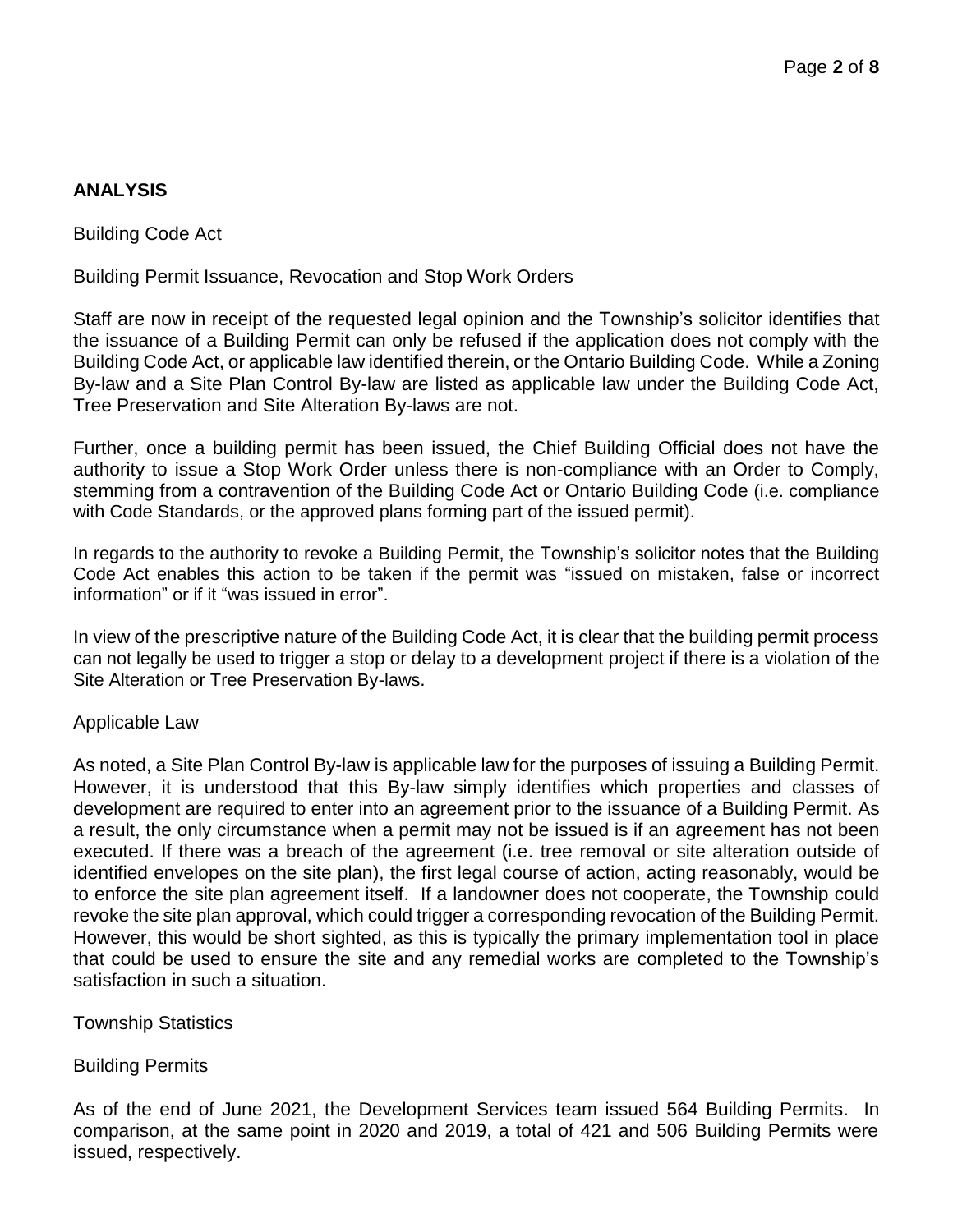# **ANALYSIS**

Building Code Act

Building Permit Issuance, Revocation and Stop Work Orders

Staff are now in receipt of the requested legal opinion and the Township's solicitor identifies that the issuance of a Building Permit can only be refused if the application does not comply with the Building Code Act, or applicable law identified therein, or the Ontario Building Code. While a Zoning By-law and a Site Plan Control By-law are listed as applicable law under the Building Code Act, Tree Preservation and Site Alteration By-laws are not.

Further, once a building permit has been issued, the Chief Building Official does not have the authority to issue a Stop Work Order unless there is non-compliance with an Order to Comply, stemming from a contravention of the Building Code Act or Ontario Building Code (i.e. compliance with Code Standards, or the approved plans forming part of the issued permit).

In regards to the authority to revoke a Building Permit, the Township's solicitor notes that the Building Code Act enables this action to be taken if the permit was "issued on mistaken, false or incorrect information" or if it "was issued in error".

In view of the prescriptive nature of the Building Code Act, it is clear that the building permit process can not legally be used to trigger a stop or delay to a development project if there is a violation of the Site Alteration or Tree Preservation By-laws.

#### Applicable Law

As noted, a Site Plan Control By-law is applicable law for the purposes of issuing a Building Permit. However, it is understood that this By-law simply identifies which properties and classes of development are required to enter into an agreement prior to the issuance of a Building Permit. As a result, the only circumstance when a permit may not be issued is if an agreement has not been executed. If there was a breach of the agreement (i.e. tree removal or site alteration outside of identified envelopes on the site plan), the first legal course of action, acting reasonably, would be to enforce the site plan agreement itself. If a landowner does not cooperate, the Township could revoke the site plan approval, which could trigger a corresponding revocation of the Building Permit. However, this would be short sighted, as this is typically the primary implementation tool in place that could be used to ensure the site and any remedial works are completed to the Township's satisfaction in such a situation.

Township Statistics

Building Permits

As of the end of June 2021, the Development Services team issued 564 Building Permits. In comparison, at the same point in 2020 and 2019, a total of 421 and 506 Building Permits were issued, respectively.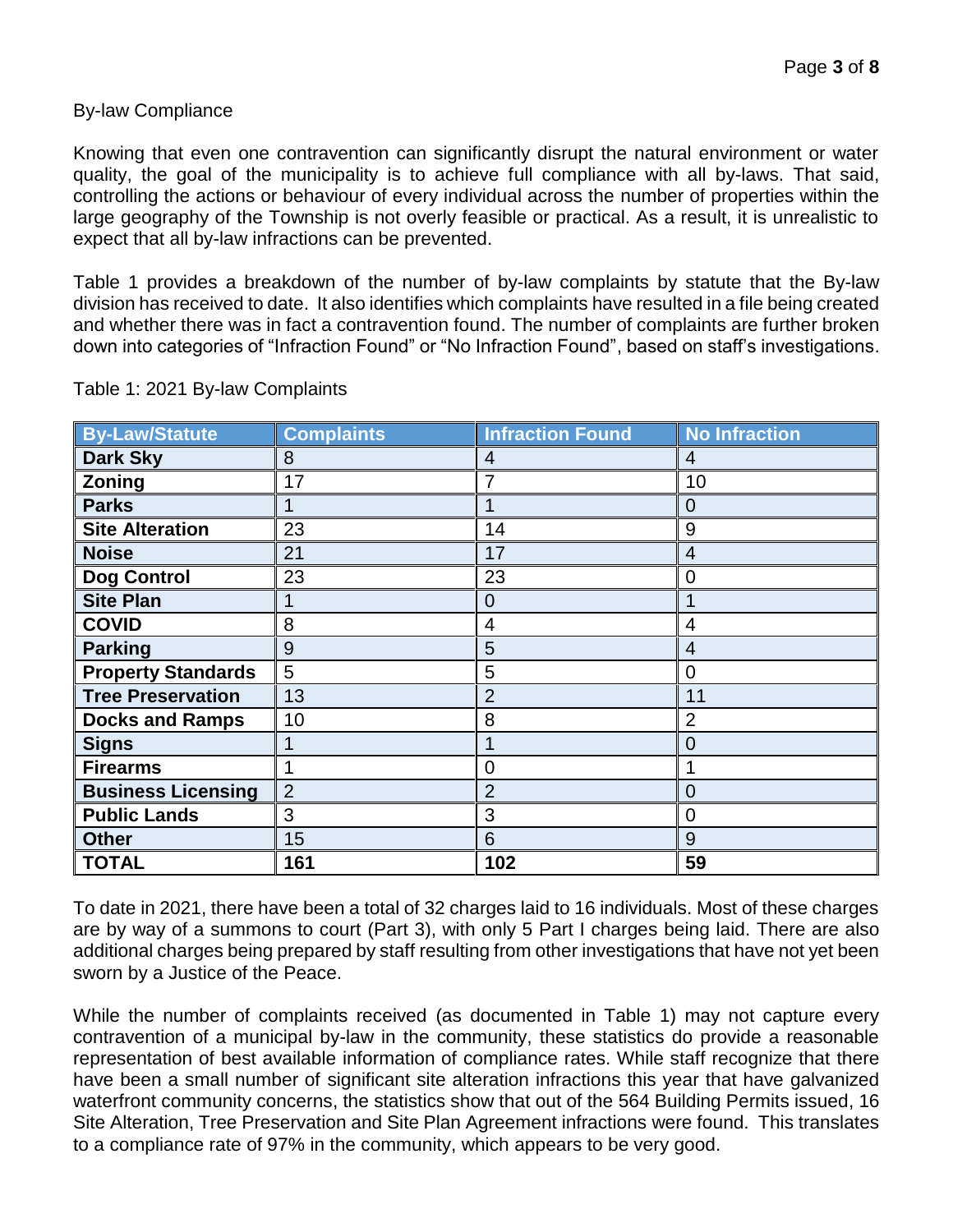## By-law Compliance

Knowing that even one contravention can significantly disrupt the natural environment or water quality, the goal of the municipality is to achieve full compliance with all by-laws. That said, controlling the actions or behaviour of every individual across the number of properties within the large geography of the Township is not overly feasible or practical. As a result, it is unrealistic to expect that all by-law infractions can be prevented.

Table 1 provides a breakdown of the number of by-law complaints by statute that the By-law division has received to date. It also identifies which complaints have resulted in a file being created and whether there was in fact a contravention found. The number of complaints are further broken down into categories of "Infraction Found" or "No Infraction Found", based on staff's investigations.

| <b>By-Law/Statute</b>     | <b>Complaints</b> | <b>Infraction Found</b> | <b>No Infraction</b> |
|---------------------------|-------------------|-------------------------|----------------------|
| <b>Dark Sky</b>           | 8                 | 4                       | 4                    |
| Zoning                    | 17                | 7                       | 10                   |
| <b>Parks</b>              | 1                 | 1                       | 0                    |
| <b>Site Alteration</b>    | 23                | 14                      | 9                    |
| <b>Noise</b>              | 21                | 17                      | 4                    |
| <b>Dog Control</b>        | 23                | 23                      | 0                    |
| <b>Site Plan</b>          |                   | $\overline{0}$          |                      |
| <b>COVID</b>              | 8                 | $\overline{4}$          | 4                    |
| <b>Parking</b>            | 9                 | 5                       | 4                    |
| <b>Property Standards</b> | 5                 | 5                       | 0                    |
| <b>Tree Preservation</b>  | 13                | $\overline{2}$          | 11                   |
| <b>Docks and Ramps</b>    | 10                | 8                       | 2                    |
| <b>Signs</b>              |                   |                         | $\Omega$             |
| <b>Firearms</b>           | 1                 | $\overline{0}$          |                      |
| <b>Business Licensing</b> | $\overline{2}$    | $\overline{2}$          | $\overline{0}$       |
| <b>Public Lands</b>       | 3                 | 3                       | $\overline{0}$       |
| <b>Other</b>              | 15                | 6                       | 9                    |
| <b>TOTAL</b>              | 161               | 102                     | 59                   |

Table 1: 2021 By-law Complaints

To date in 2021, there have been a total of 32 charges laid to 16 individuals. Most of these charges are by way of a summons to court (Part 3), with only 5 Part I charges being laid. There are also additional charges being prepared by staff resulting from other investigations that have not yet been sworn by a Justice of the Peace.

While the number of complaints received (as documented in Table 1) may not capture every contravention of a municipal by-law in the community, these statistics do provide a reasonable representation of best available information of compliance rates. While staff recognize that there have been a small number of significant site alteration infractions this year that have galvanized waterfront community concerns, the statistics show that out of the 564 Building Permits issued, 16 Site Alteration, Tree Preservation and Site Plan Agreement infractions were found. This translates to a compliance rate of 97% in the community, which appears to be very good.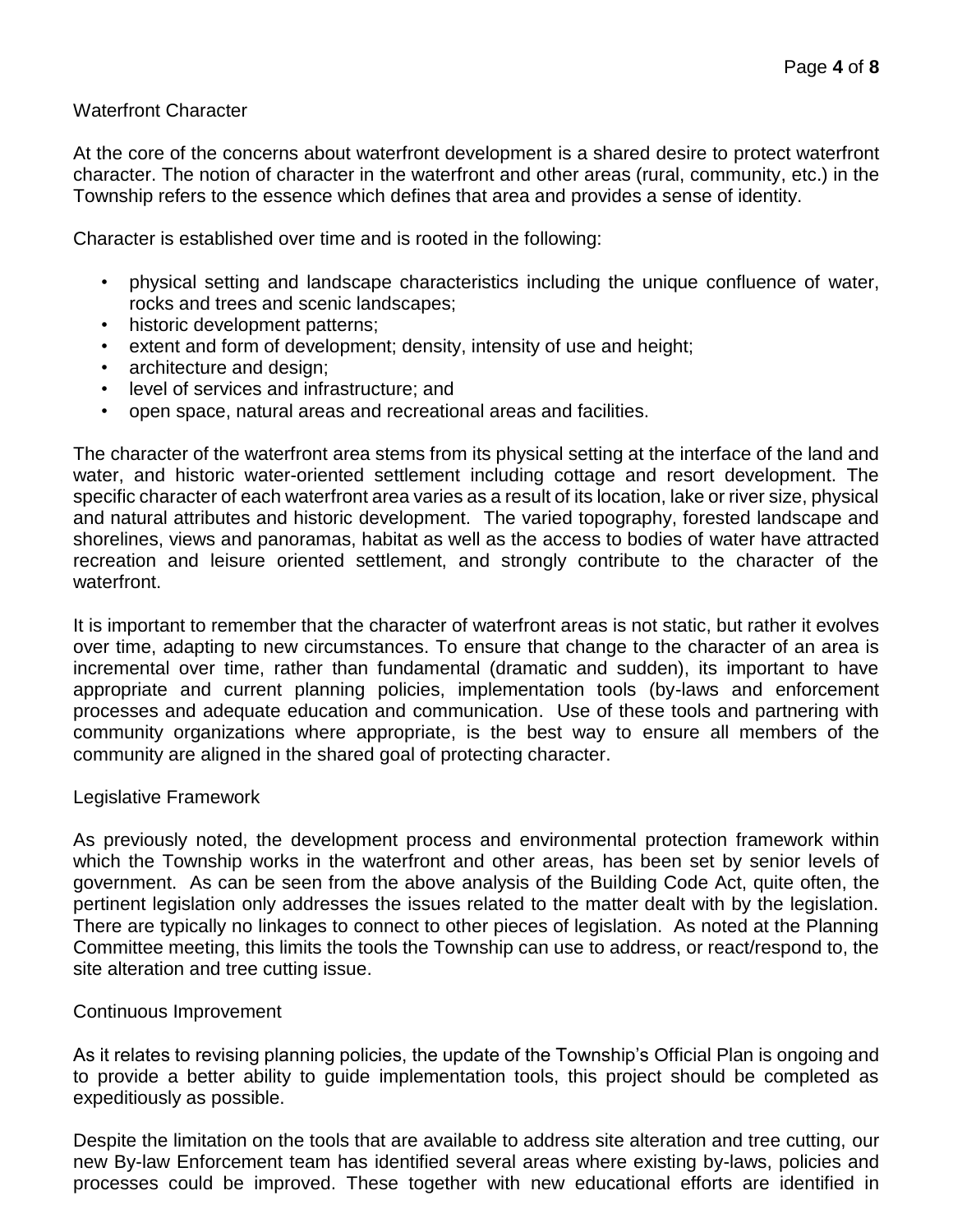## Waterfront Character

At the core of the concerns about waterfront development is a shared desire to protect waterfront character. The notion of character in the waterfront and other areas (rural, community, etc.) in the Township refers to the essence which defines that area and provides a sense of identity.

Character is established over time and is rooted in the following:

- physical setting and landscape characteristics including the unique confluence of water, rocks and trees and scenic landscapes;
- historic development patterns;
- extent and form of development; density, intensity of use and height;
- architecture and design;
- level of services and infrastructure; and
- open space, natural areas and recreational areas and facilities.

The character of the waterfront area stems from its physical setting at the interface of the land and water, and historic water-oriented settlement including cottage and resort development. The specific character of each waterfront area varies as a result of its location, lake or river size, physical and natural attributes and historic development. The varied topography, forested landscape and shorelines, views and panoramas, habitat as well as the access to bodies of water have attracted recreation and leisure oriented settlement, and strongly contribute to the character of the waterfront.

It is important to remember that the character of waterfront areas is not static, but rather it evolves over time, adapting to new circumstances. To ensure that change to the character of an area is incremental over time, rather than fundamental (dramatic and sudden), its important to have appropriate and current planning policies, implementation tools (by-laws and enforcement processes and adequate education and communication. Use of these tools and partnering with community organizations where appropriate, is the best way to ensure all members of the community are aligned in the shared goal of protecting character.

#### Legislative Framework

As previously noted, the development process and environmental protection framework within which the Township works in the waterfront and other areas, has been set by senior levels of government. As can be seen from the above analysis of the Building Code Act, quite often, the pertinent legislation only addresses the issues related to the matter dealt with by the legislation. There are typically no linkages to connect to other pieces of legislation. As noted at the Planning Committee meeting, this limits the tools the Township can use to address, or react/respond to, the site alteration and tree cutting issue.

#### Continuous Improvement

As it relates to revising planning policies, the update of the Township's Official Plan is ongoing and to provide a better ability to guide implementation tools, this project should be completed as expeditiously as possible.

Despite the limitation on the tools that are available to address site alteration and tree cutting, our new By-law Enforcement team has identified several areas where existing by-laws, policies and processes could be improved. These together with new educational efforts are identified in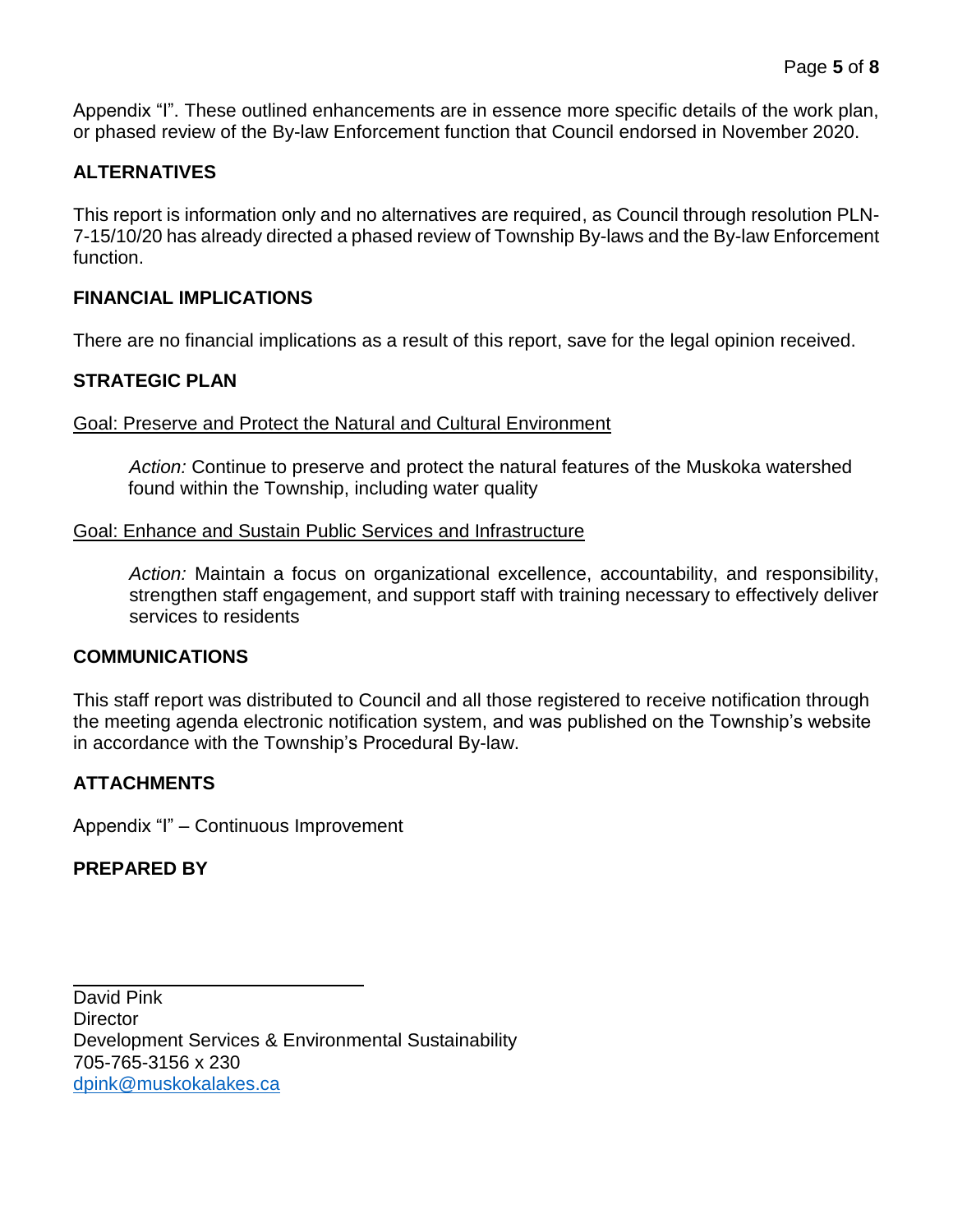Appendix "I". These outlined enhancements are in essence more specific details of the work plan, or phased review of the By-law Enforcement function that Council endorsed in November 2020.

# **ALTERNATIVES**

This report is information only and no alternatives are required, as Council through resolution PLN-7-15/10/20 has already directed a phased review of Township By-laws and the By-law Enforcement function.

# **FINANCIAL IMPLICATIONS**

There are no financial implications as a result of this report, save for the legal opinion received.

# **STRATEGIC PLAN**

#### Goal: Preserve and Protect the Natural and Cultural Environment

*Action:* Continue to preserve and protect the natural features of the Muskoka watershed found within the Township, including water quality

#### Goal: Enhance and Sustain Public Services and Infrastructure

*Action:* Maintain a focus on organizational excellence, accountability, and responsibility, strengthen staff engagement, and support staff with training necessary to effectively deliver services to residents

## **COMMUNICATIONS**

This staff report was distributed to Council and all those registered to receive notification through the meeting agenda electronic notification system, and was published on the Township's website in accordance with the Township's Procedural By-law.

## **ATTACHMENTS**

Appendix "I" – Continuous Improvement

## **PREPARED BY**

 $\overline{a}$ 

David Pink **Director** Development Services & Environmental Sustainability 705-765-3156 x 230 [dpink@muskokalakes.ca](mailto:dpink@muskokalakes.ca)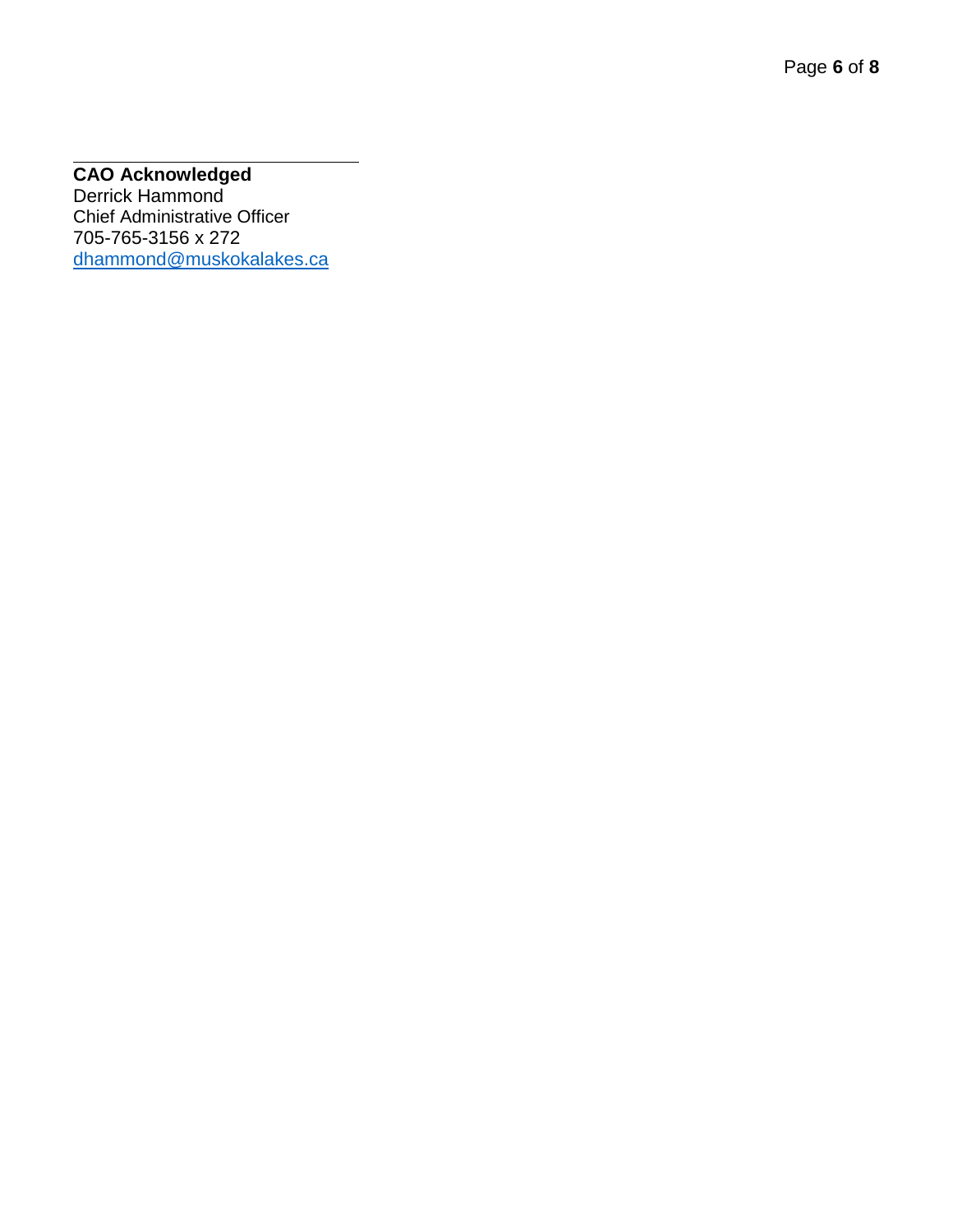#### $\overline{a}$ **CAO Acknowledged**

Derrick Hammond Chief Administrative Officer 705 -765 -3156 x 272 [dhammond@muskokalakes.ca](mailto:dhammond@muskokalakes.ca)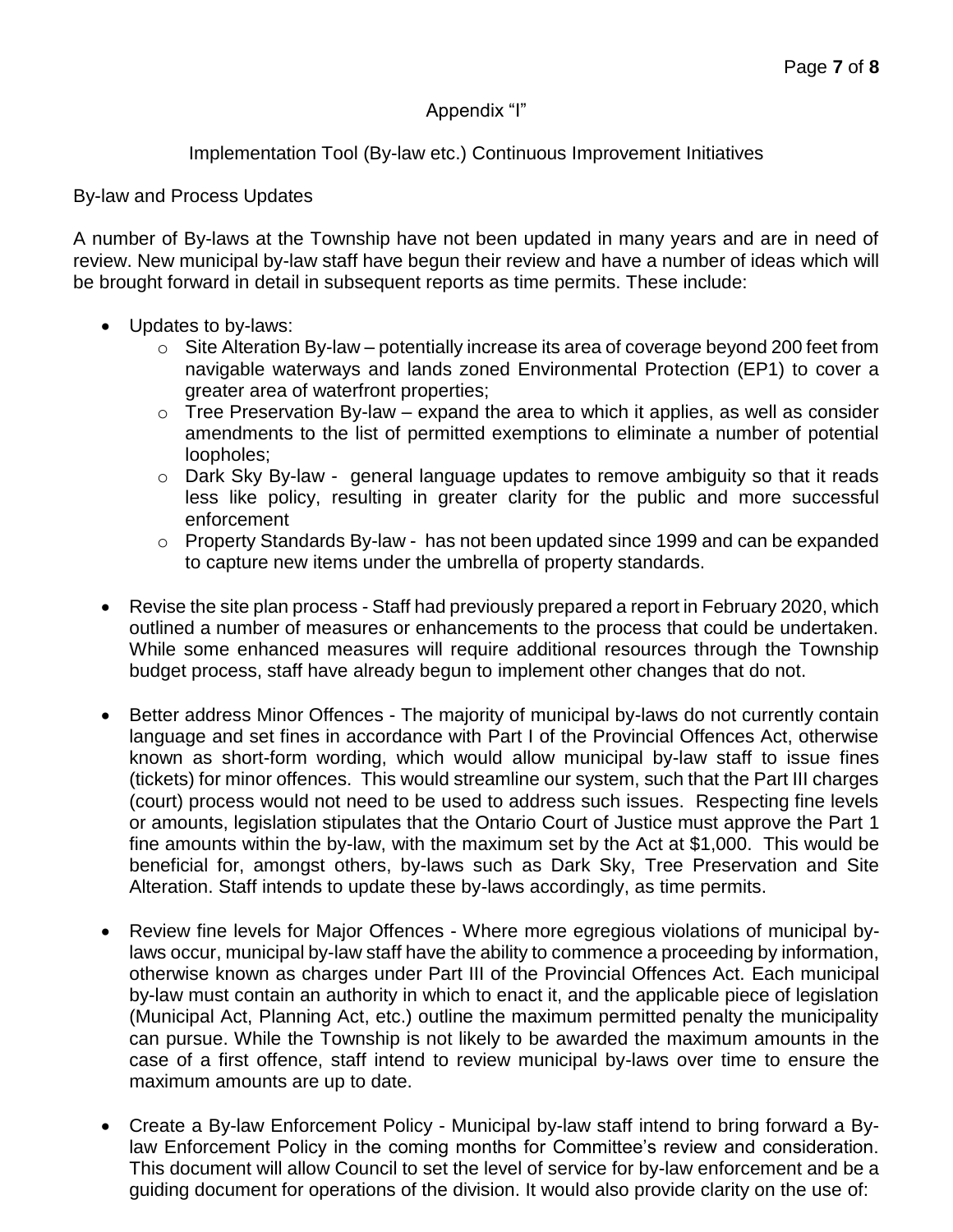# Appendix "I"

# Implementation Tool (By-law etc.) Continuous Improvement Initiatives

#### By-law and Process Updates

A number of By-laws at the Township have not been updated in many years and are in need of review. New municipal by-law staff have begun their review and have a number of ideas which will be brought forward in detail in subsequent reports as time permits. These include:

- Updates to by-laws:
	- $\circ$  Site Alteration By-law potentially increase its area of coverage beyond 200 feet from navigable waterways and lands zoned Environmental Protection (EP1) to cover a greater area of waterfront properties;
	- $\circ$  Tree Preservation By-law expand the area to which it applies, as well as consider amendments to the list of permitted exemptions to eliminate a number of potential loopholes;
	- o Dark Sky By-law general language updates to remove ambiguity so that it reads less like policy, resulting in greater clarity for the public and more successful enforcement
	- o Property Standards By-law has not been updated since 1999 and can be expanded to capture new items under the umbrella of property standards.
- Revise the site plan process Staff had previously prepared a report in February 2020, which outlined a number of measures or enhancements to the process that could be undertaken. While some enhanced measures will require additional resources through the Township budget process, staff have already begun to implement other changes that do not.
- Better address Minor Offences The majority of municipal by-laws do not currently contain language and set fines in accordance with Part I of the Provincial Offences Act, otherwise known as short-form wording, which would allow municipal by-law staff to issue fines (tickets) for minor offences. This would streamline our system, such that the Part III charges (court) process would not need to be used to address such issues. Respecting fine levels or amounts, legislation stipulates that the Ontario Court of Justice must approve the Part 1 fine amounts within the by-law, with the maximum set by the Act at \$1,000. This would be beneficial for, amongst others, by-laws such as Dark Sky, Tree Preservation and Site Alteration. Staff intends to update these by-laws accordingly, as time permits.
- Review fine levels for Major Offences Where more egregious violations of municipal bylaws occur, municipal by-law staff have the ability to commence a proceeding by information, otherwise known as charges under Part III of the Provincial Offences Act. Each municipal by-law must contain an authority in which to enact it, and the applicable piece of legislation (Municipal Act, Planning Act, etc.) outline the maximum permitted penalty the municipality can pursue. While the Township is not likely to be awarded the maximum amounts in the case of a first offence, staff intend to review municipal by-laws over time to ensure the maximum amounts are up to date.
- Create a By-law Enforcement Policy Municipal by-law staff intend to bring forward a Bylaw Enforcement Policy in the coming months for Committee's review and consideration. This document will allow Council to set the level of service for by-law enforcement and be a guiding document for operations of the division. It would also provide clarity on the use of: